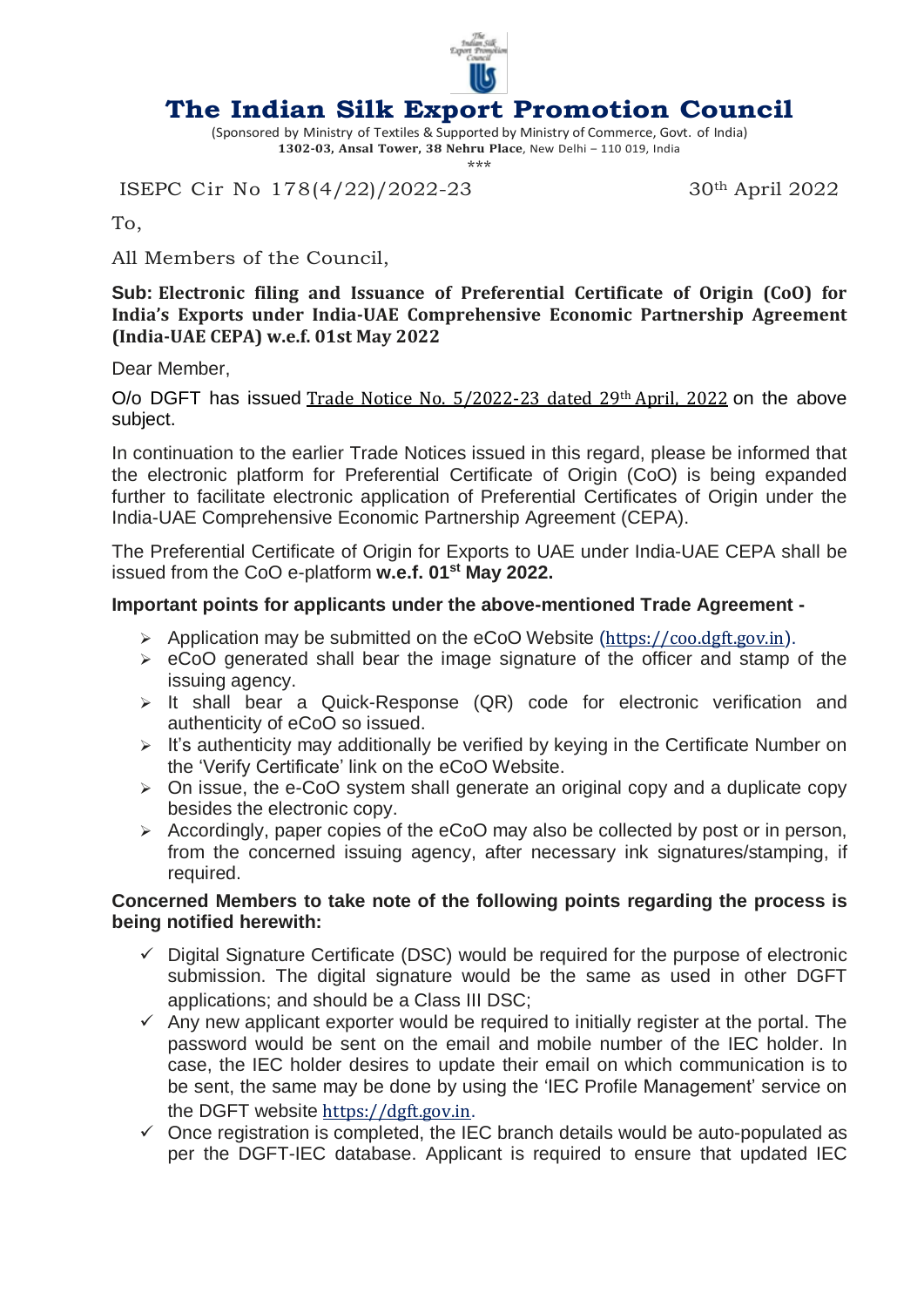

## **The Indian Silk Export Promotion Council**

(Sponsored by Ministry of Textiles & Supported by Ministry of Commerce, Govt. of India) **1302-03, Ansal Tower, 38 Nehru Place**, New Delhi – 110 019, India \*\*\*

ISEPC Cir No 178(4/22)/2022-23 30<sup>th</sup> April 2022

To,

All Members of the Council,

**Sub: Electronic filing and Issuance of Preferential Certificate of Origin (CoO) for India's Exports under India-UAE Comprehensive Economic Partnership Agreement (India-UAE CEPA) w.e.f. 01st May 2022**

Dear Member,

O/o DGFT has issued Trade Notice No. [5/2022-23](https://click.mlsend.com/link/c/YT0xOTQxMjU0MTU0NzU2Mjk0MDgzJmM9bjNvNiZlPTE5MjgmYj05NjM5OTQxNzgmZD1iNGQ2dDZl.QRxKo_zdLbE6baNfexL35cYt9s1v3MdKsonxUOOwrds) dated 29th April, 2022 on the above subject.

In continuation to the earlier Trade Notices issued in this regard, please be informed that the electronic platform for Preferential Certificate of Origin (CoO) is being expanded further to facilitate electronic application of Preferential Certificates of Origin under the India-UAE Comprehensive Economic Partnership Agreement (CEPA).

The Preferential Certificate of Origin for Exports to UAE under India-UAE CEPA shall be issued from the CoO e-platform **w.e.f. 01st May 2022.**

## **Important points for applicants under the above-mentioned Trade Agreement -**

- $\triangleright$  Application may be submitted on the eCoO Website ([https://coo.dgft.gov.in](https://click.mlsend.com/link/c/YT0xOTQxMjU0MTU0NzU2Mjk0MDgzJmM9bjNvNiZlPTE5MjgmYj05NjM5OTQxODAmZD13NHc1ZDJn.MEeetCYKaeKQGb13jERRdZcqO7nosbi3THOJvb-d5Uc)).
- $\geq$  eCoO generated shall bear the image signature of the officer and stamp of the issuing agency.
- $\triangleright$  It shall bear a Quick-Response (QR) code for electronic verification and authenticity of eCoO so issued.
- $\triangleright$  It's authenticity may additionally be verified by keying in the Certificate Number on the 'Verify Certificate' link on the eCoO Website.
- $\geq$  On issue, the e-CoO system shall generate an original copy and a duplicate copy besides the electronic copy.
- $\triangleright$  Accordingly, paper copies of the eCoO may also be collected by post or in person, from the concerned issuing agency, after necessary ink signatures/stamping, if required.

## **Concerned Members to take note of the following points regarding the process is being notified herewith:**

- $\checkmark$  Digital Signature Certificate (DSC) would be required for the purpose of electronic submission. The digital signature would be the same as used in other DGFT applications; and should be a Class III DSC;
- $\checkmark$  Any new applicant exporter would be required to initially register at the portal. The password would be sent on the email and mobile number of the IEC holder. In case, the IEC holder desires to update their email on which communication is to be sent, the same may be done by using the 'IEC Profile Management' service on the DGFT website [https://dgft.gov.in](https://click.mlsend.com/link/c/YT0xOTQxMjU0MTU0NzU2Mjk0MDgzJmM9bjNvNiZlPTE5MjgmYj05NjM5OTQxODImZD1sOXc4cjBl.IofCzgLmqJ3M-CtNC5HpQRPrkkCBD7ZOCzGuou1r1wg).
- $\checkmark$  Once registration is completed, the IEC branch details would be auto-populated as per the DGFT-IEC database. Applicant is required to ensure that updated IEC